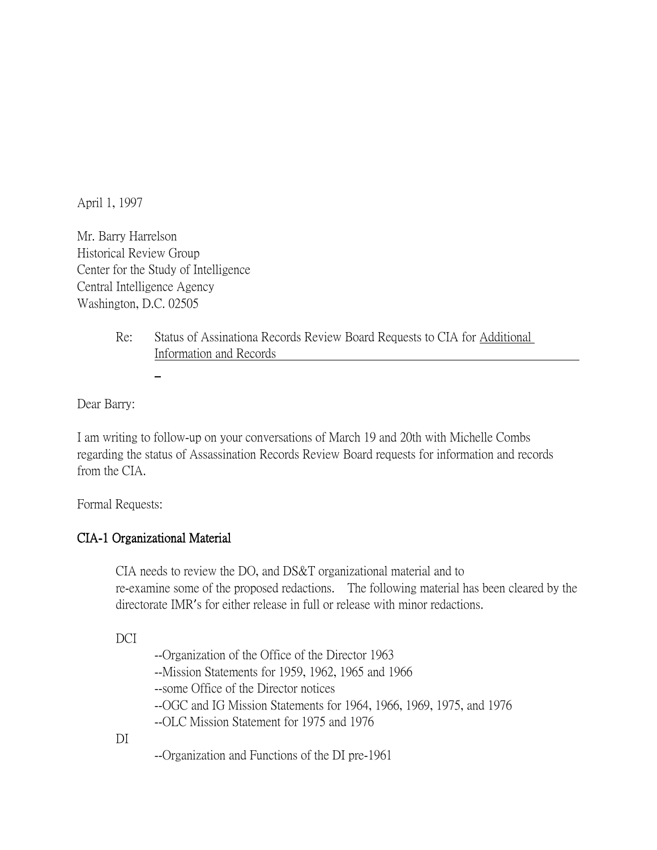April 1, 1997

Mr. Barry Harrelson Historical Review Group Center for the Study of Intelligence Central Intelligence Agency Washington, D.C. 02505

> Re: Status of Assinationa Records Review Board Requests to CIA for Additional Information and Records

Dear Barry:

I am writing to follow-up on your conversations of March 19 and 20th with Michelle Combs regarding the status of Assassination Records Review Board requests for information and records from the CIA.

Formal Requests:

# CIA-1 Organizational Material

CIA needs to review the DO, and DS&T organizational material and to re-examine some of the proposed redactions. The following material has been cleared by the directorate IMR's for either release in full or release with minor redactions.

DCI

--Organization of the Office of the Director 1963

--Mission Statements for 1959, 1962, 1965 and 1966

--some Office of the Director notices

--OGC and IG Mission Statements for 1964, 1966, 1969, 1975, and 1976

--OLC Mission Statement for 1975 and 1976

DI

--Organization and Functions of the DI pre-1961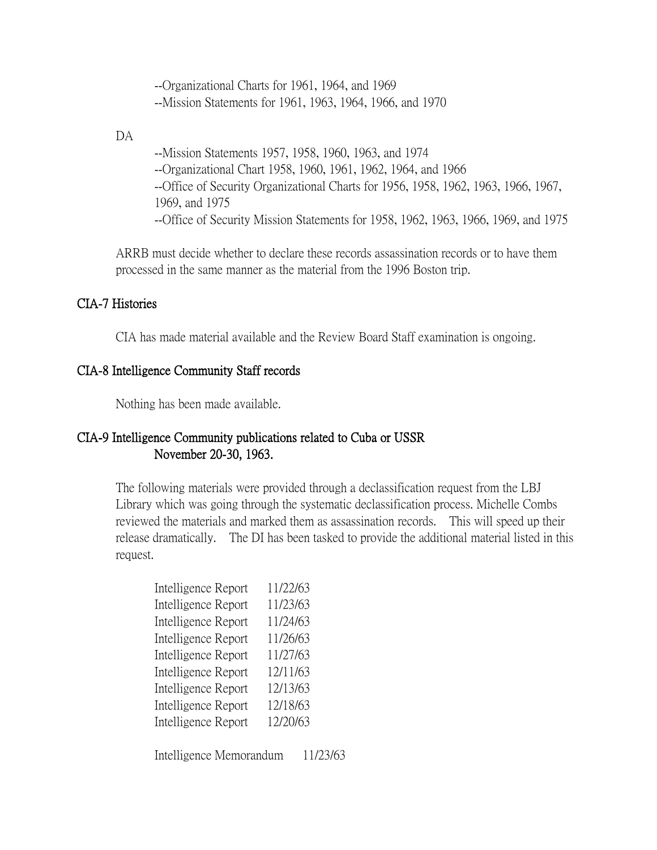--Organizational Charts for 1961, 1964, and 1969 --Mission Statements for 1961, 1963, 1964, 1966, and 1970

DA

--Mission Statements 1957, 1958, 1960, 1963, and 1974 --Organizational Chart 1958, 1960, 1961, 1962, 1964, and 1966 --Office of Security Organizational Charts for 1956, 1958, 1962, 1963, 1966, 1967, 1969, and 1975 --Office of Security Mission Statements for 1958, 1962, 1963, 1966, 1969, and 1975

ARRB must decide whether to declare these records assassination records or to have them processed in the same manner as the material from the 1996 Boston trip.

## CIA-7 Histories

CIA has made material available and the Review Board Staff examination is ongoing.

## CIA-8 Intelligence Community Staff records

Nothing has been made available.

# CIA-9 Intelligence Community publications related to Cuba or USSR November 20-30, 1963.

The following materials were provided through a declassification request from the LBJ Library which was going through the systematic declassification process. Michelle Combs reviewed the materials and marked them as assassination records. This will speed up their release dramatically. The DI has been tasked to provide the additional material listed in this request.

| Intelligence Report | 11/22/63 |
|---------------------|----------|
| Intelligence Report | 11/23/63 |
| Intelligence Report | 11/24/63 |
| Intelligence Report | 11/26/63 |
| Intelligence Report | 11/27/63 |
| Intelligence Report | 12/11/63 |
| Intelligence Report | 12/13/63 |
| Intelligence Report | 12/18/63 |
| Intelligence Report | 12/20/63 |
|                     |          |

Intelligence Memorandum 11/23/63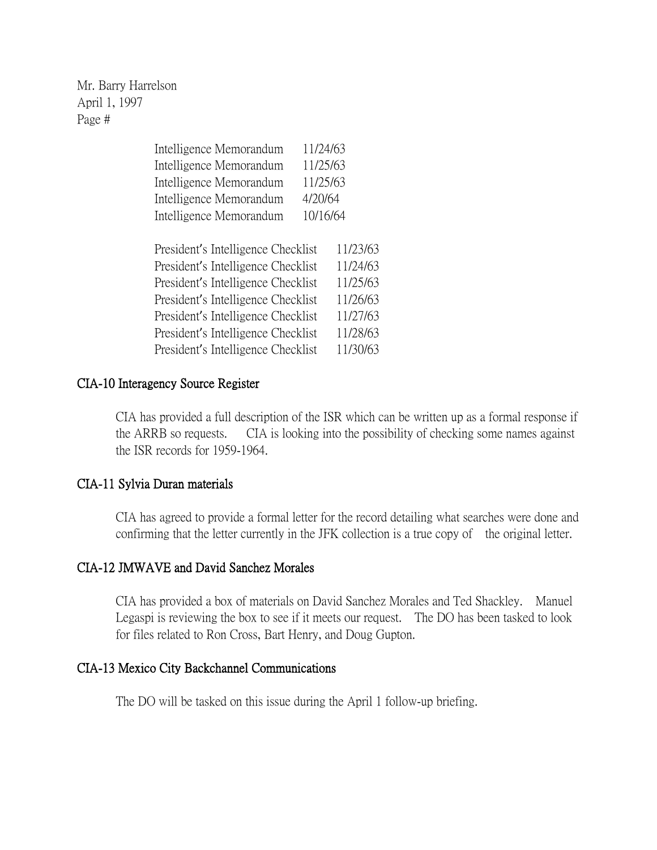| Intelligence Memorandum                                                      | 11/24/63   |
|------------------------------------------------------------------------------|------------|
| Intelligence Memorandum                                                      | 11/25/63   |
| Intelligence Memorandum                                                      | 11/25/63   |
| Intelligence Memorandum                                                      | 4/20/64    |
| Intelligence Memorandum                                                      | 10/16/64   |
|                                                                              |            |
| $\cdot$ 1 $\cdot$ $\cdot$ 11 $\cdot$ $\cdot$ $\cdot$ $\cdot$<br>$\mathbf{L}$ | 111<br>11. |

| President's Intelligence Checklist | 11/23/63 |
|------------------------------------|----------|
| President's Intelligence Checklist | 11/24/63 |
| President's Intelligence Checklist | 11/25/63 |
| President's Intelligence Checklist | 11/26/63 |
| President's Intelligence Checklist | 11/27/63 |
| President's Intelligence Checklist | 11/28/63 |
| President's Intelligence Checklist | 11/30/63 |

## CIA-10 Interagency Source Register

CIA has provided a full description of the ISR which can be written up as a formal response if the ARRB so requests. CIA is looking into the possibility of checking some names against the ISR records for 1959-1964.

# CIA-11 Sylvia Duran materials

CIA has agreed to provide a formal letter for the record detailing what searches were done and confirming that the letter currently in the JFK collection is a true copy of the original letter.

#### CIA-12 JMWAVE and David Sanchez Morales

CIA has provided a box of materials on David Sanchez Morales and Ted Shackley. Manuel Legaspi is reviewing the box to see if it meets our request. The DO has been tasked to look for files related to Ron Cross, Bart Henry, and Doug Gupton.

#### CIA-13 Mexico City Backchannel Communications

The DO will be tasked on this issue during the April 1 follow-up briefing.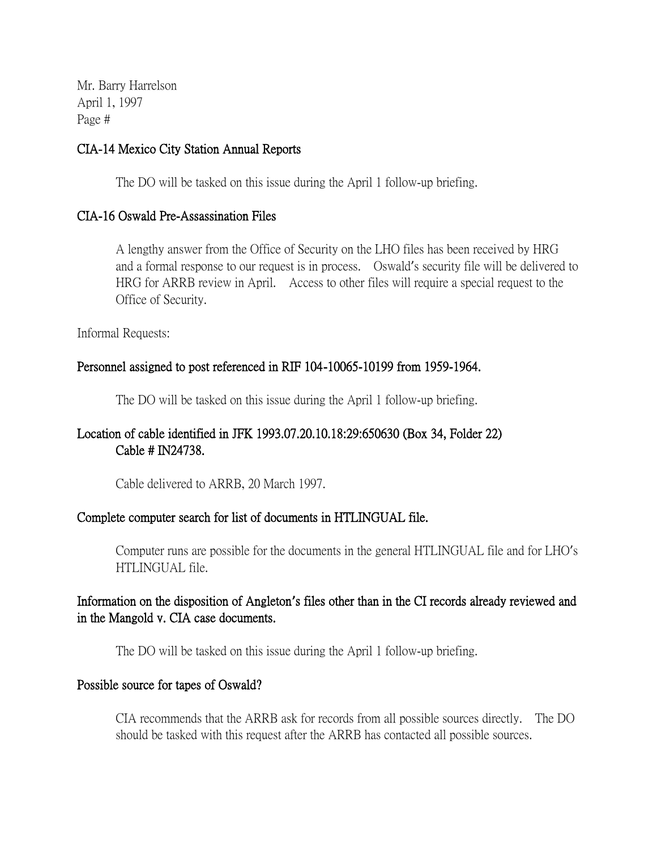## CIA-14 Mexico City Station Annual Reports

The DO will be tasked on this issue during the April 1 follow-up briefing.

## CIA-16 Oswald Pre-Assassination Files

A lengthy answer from the Office of Security on the LHO files has been received by HRG and a formal response to our request is in process. Oswald's security file will be delivered to HRG for ARRB review in April. Access to other files will require a special request to the Office of Security.

Informal Requests:

# Personnel assigned to post referenced in RIF 104-10065-10199 from 1959-1964.

The DO will be tasked on this issue during the April 1 follow-up briefing.

# Location of cable identified in JFK 1993.07.20.10.18:29:650630 (Box 34, Folder 22) Cable # IN24738.

Cable delivered to ARRB, 20 March 1997.

# Complete computer search for list of documents in HTLINGUAL file.

Computer runs are possible for the documents in the general HTLINGUAL file and for LHO's HTLINGUAL file.

# Information on the disposition of Angleton**'**s files other than in the CI records already reviewed and in the Mangold v. CIA case documents.

The DO will be tasked on this issue during the April 1 follow-up briefing.

#### Possible source for tapes of Oswald?

CIA recommends that the ARRB ask for records from all possible sources directly. The DO should be tasked with this request after the ARRB has contacted all possible sources.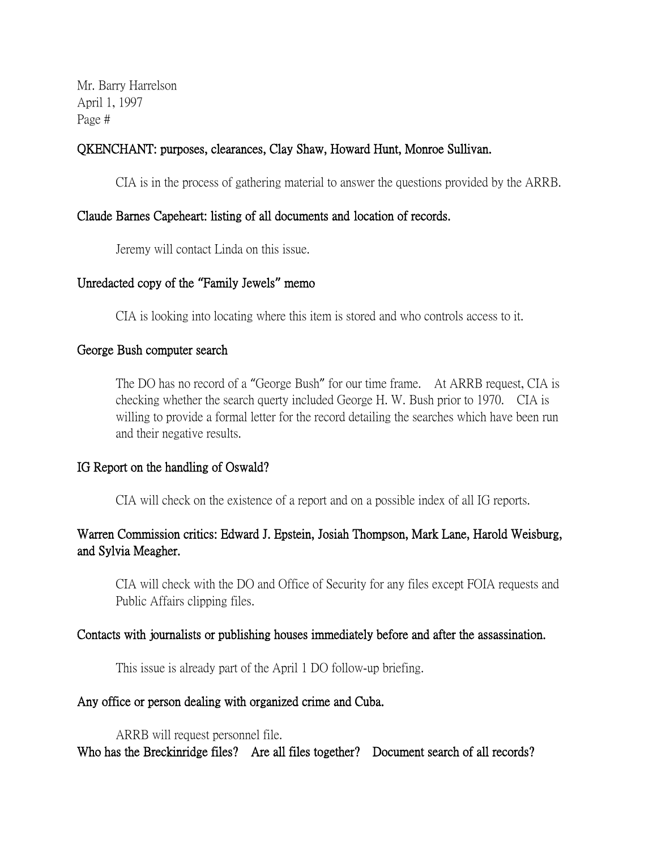## QKENCHANT: purposes, clearances, Clay Shaw, Howard Hunt, Monroe Sullivan.

CIA is in the process of gathering material to answer the questions provided by the ARRB.

#### Claude Barnes Capeheart: listing of all documents and location of records.

Jeremy will contact Linda on this issue.

#### Unredacted copy of the **"**Family Jewels**"** memo

CIA is looking into locating where this item is stored and who controls access to it.

#### George Bush computer search

The DO has no record of a "George Bush" for our time frame. At ARRB request, CIA is checking whether the search querty included George H. W. Bush prior to 1970. CIA is willing to provide a formal letter for the record detailing the searches which have been run and their negative results.

#### IG Report on the handling of Oswald?

CIA will check on the existence of a report and on a possible index of all IG reports.

# Warren Commission critics: Edward J. Epstein, Josiah Thompson, Mark Lane, Harold Weisburg, and Sylvia Meagher.

CIA will check with the DO and Office of Security for any files except FOIA requests and Public Affairs clipping files.

#### Contacts with journalists or publishing houses immediately before and after the assassination.

This issue is already part of the April 1 DO follow-up briefing.

#### Any office or person dealing with organized crime and Cuba.

ARRB will request personnel file. Who has the Breckinridge files? Are all files together? Document search of all records?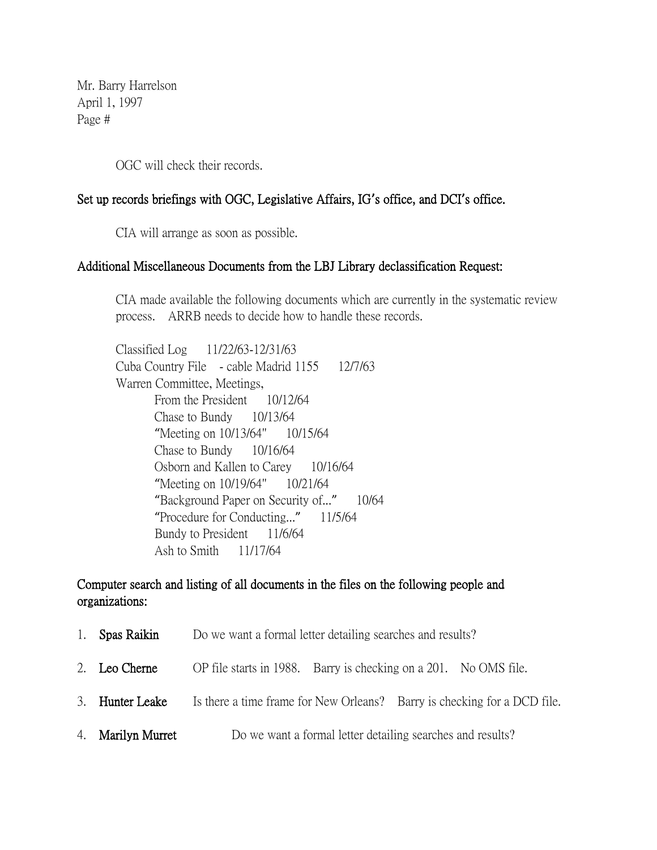OGC will check their records.

# Set up records briefings with OGC, Legislative Affairs, IG**'**s office, and DCI**'**s office.

CIA will arrange as soon as possible.

#### Additional Miscellaneous Documents from the LBJ Library declassification Request:

CIA made available the following documents which are currently in the systematic review process. ARRB needs to decide how to handle these records.

Classified Log 11/22/63-12/31/63 Cuba Country File - cable Madrid 1155 12/7/63 Warren Committee, Meetings, From the President 10/12/64 Chase to Bundy 10/13/64 "Meeting on 10/13/64" 10/15/64 Chase to Bundy 10/16/64 Osborn and Kallen to Carey 10/16/64 "Meeting on 10/19/64" 10/21/64 "Background Paper on Security of..." 10/64 "Procedure for Conducting..." 11/5/64 Bundy to President 11/6/64 Ash to Smith 11/17/64

# Computer search and listing of all documents in the files on the following people and organizations:

| 1. Spas Raikin    | Do we want a formal letter detailing searches and results?               |
|-------------------|--------------------------------------------------------------------------|
| 2. Leo Cherne     | OP file starts in 1988. Barry is checking on a 201. No OMS file.         |
| 3. Hunter Leake   | Is there a time frame for New Orleans? Barry is checking for a DCD file. |
| 4. Marilyn Murret | Do we want a formal letter detailing searches and results?               |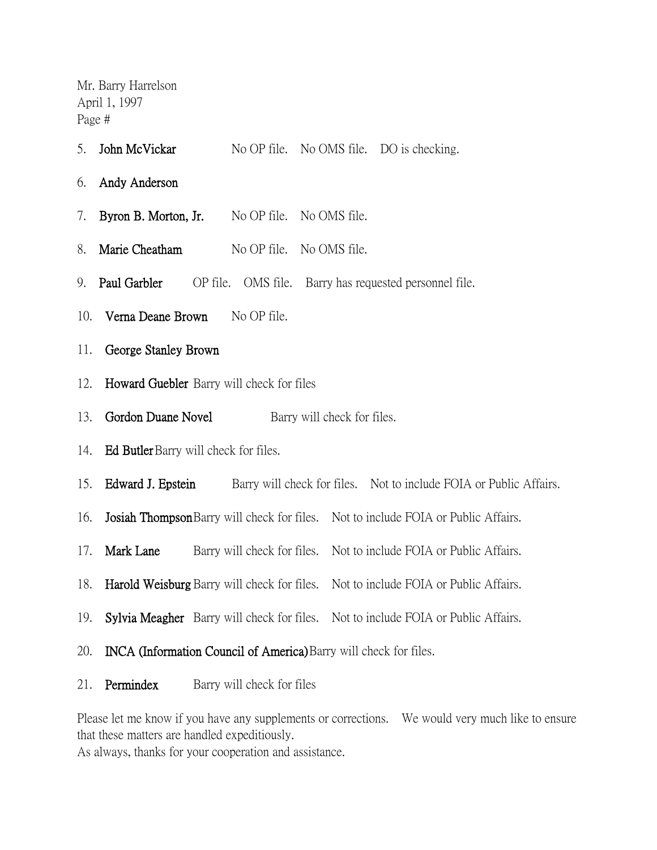- 5. John McVickar No OP file. No OMS file. DO is checking.
- 6. Andy Anderson
- 7. Byron B. Morton, Jr. No OP file. No OMS file.
- 8. Marie Cheatham No OP file. No OMS file.
- 9. **Paul Garbler** OP file. OMS file. Barry has requested personnel file.
- 10. Verna Deane Brown No OP file.
- 11. George Stanley Brown
- 12. Howard Guebler Barry will check for files
- 13. Gordon Duane Novel Barry will check for files.
- 14. Ed Butler Barry will check for files.
- 15. Edward J. Epstein Barry will check for files. Not to include FOIA or Public Affairs.
- 16. Josiah ThompsonBarry will check for files. Not to include FOIA or Public Affairs.
- 17. Mark Lane Barry will check for files. Not to include FOIA or Public Affairs.
- 18. Harold Weisburg Barry will check for files. Not to include FOIA or Public Affairs.
- 19. Sylvia Meagher Barry will check for files. Not to include FOIA or Public Affairs.
- 20. INCA (Information Council of America)Barry will check for files.
- 21. **Permindex** Barry will check for files

Please let me know if you have any supplements or corrections. We would very much like to ensure that these matters are handled expeditiously.

As always, thanks for your cooperation and assistance.